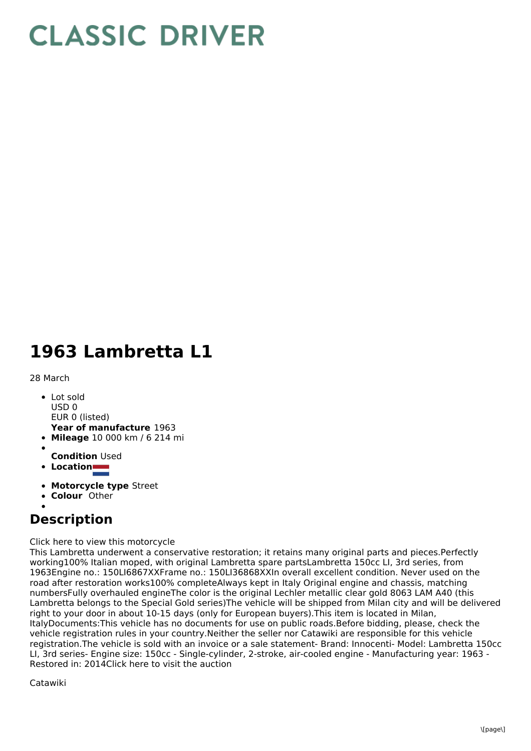## **CLASSIC DRIVER**

## **1963 Lambretta L1**

28 March

- **Year of manufacture** 1963 Lot sold USD 0 EUR 0 (listed)
- **Mileage** 10 000 km / 6 214 mi
- 
- **Condition** Used
- **Location**
- **Motorcycle type** Street
- **Colour** Other

## **Description**

Click here to view this motorcycle

This Lambretta underwent a conservative restoration; it retains many original parts and pieces.Perfectly working100% Italian moped, with original Lambretta spare partsLambretta 150cc LI, 3rd series, from 1963Engine no.: 150LI6867XXFrame no.: 150LI36868XXIn overall excellent condition. Never used on the road after restoration works100% completeAlways kept in Italy Original engine and chassis, matching numbersFully overhauled engineThe color is the original Lechler metallic clear gold 8063 LAM A40 (this Lambretta belongs to the Special Gold series)The vehicle will be shipped from Milan city and will be delivered right to your door in about 10-15 days (only for European buyers).This item is located in Milan, ItalyDocuments:This vehicle has no documents for use on public roads.Before bidding, please, check the vehicle registration rules in your country.Neither the seller nor Catawiki are responsible for this vehicle registration.The vehicle is sold with an invoice or a sale statement- Brand: Innocenti- Model: Lambretta 150cc LI, 3rd series- Engine size: 150cc - Single-cylinder, 2-stroke, air-cooled engine - Manufacturing year: 1963 - Restored in: 2014Click here to visit the auction

Catawiki